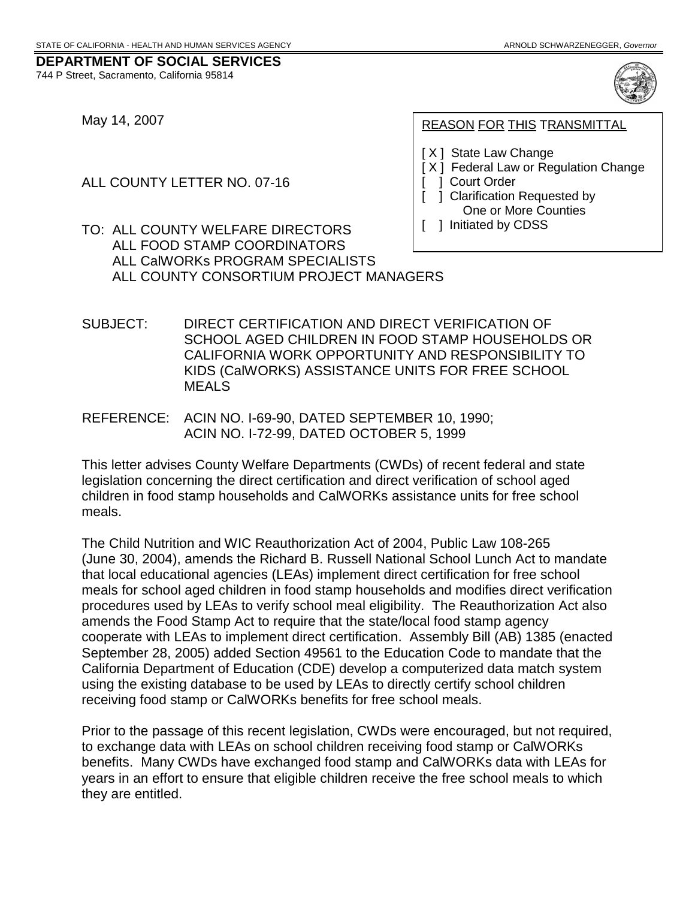May 14, 2007

744 P Street, Sacramento, California 95814

ALL COUNTY LETTER NO. 07-16

**REASON FOR THIS TRANSMITTAL** 

- [ X ] State Law Change
- [ X ] Federal Law or Regulation Change [ ] Court Order
	- 1 Clarification Requested by One or More Counties
- [ ] Initiated by CDSS

 $\mathbf{I}$ 

 TO: ALL COUNTY WELFARE DIRECTORS ALL FOOD STAMP COORDINATORS ALL CalWORKs PROGRAM SPECIALISTS ALL COUNTY CONSORTIUM PROJECT MANAGERS

SUBJECT: DIRECT CERTIFICATION AND DIRECT VERIFICATION OF SCHOOL AGED CHILDREN IN FOOD STAMP HOUSEHOLDS OR CALIFORNIA WORK OPPORTUNITY AND RESPONSIBILITY TO KIDS (CalWORKS) ASSISTANCE UNITS FOR FREE SCHOOL MEALS

REFERENCE: ACIN NO. I-69-90, DATED SEPTEMBER 10, 1990; ACIN NO. I-72-99, DATED OCTOBER 5, 1999

 This letter advises County Welfare Departments (CWDs) of recent federal and state children in food stamp households and CalWORKs assistance units for free school meals. legislation concerning the direct certification and direct verification of school aged

 that local educational agencies (LEAs) implement direct certification for free school meals for school aged children in food stamp households and modifies direct verification procedures used by LEAs to verify school meal eligibility. The Reauthorization Act also receiving food stamp or CalWORKs benefits for free school meals. The Child Nutrition and WIC Reauthorization Act of 2004, Public Law 108-265 (June 30, 2004), amends the Richard B. Russell National School Lunch Act to mandate amends the Food Stamp Act to require that the state/local food stamp agency cooperate with LEAs to implement direct certification. Assembly Bill (AB) 1385 (enacted September 28, 2005) added Section 49561 to the Education Code to mandate that the California Department of Education (CDE) develop a computerized data match system using the existing database to be used by LEAs to directly certify school children

Prior to the passage of this recent legislation, CWDs were encouraged, but not required, to exchange data with LEAs on school children receiving food stamp or CalWORKs benefits. Many CWDs have exchanged food stamp and CalWORKs data with LEAs for years in an effort to ensure that eligible children receive the free school meals to which they are entitled.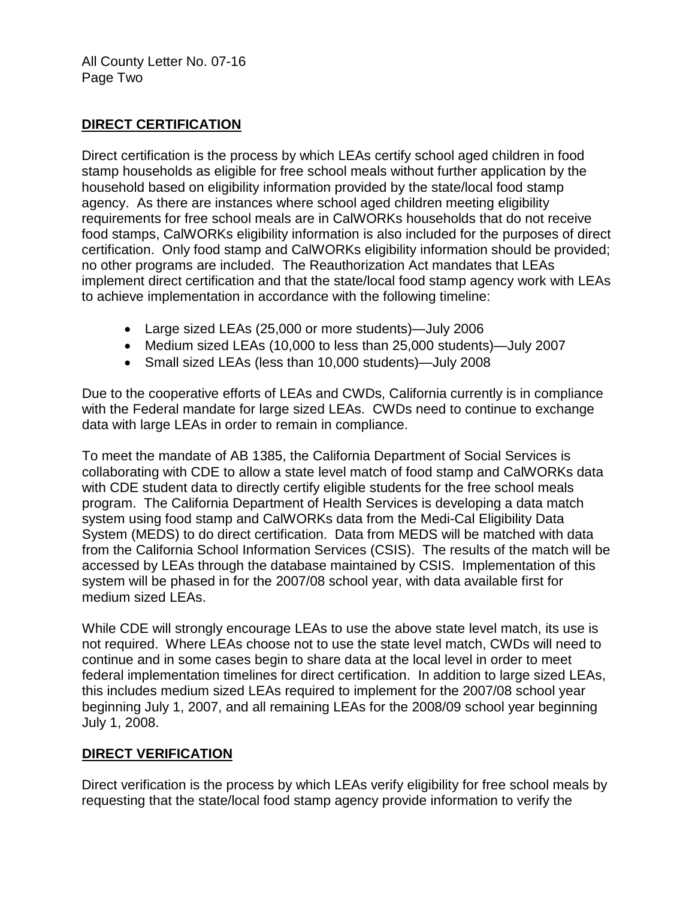## **DIRECT CERTIFICATION**

 Direct certification is the process by which LEAs certify school aged children in food stamp households as eligible for free school meals without further application by the requirements for free school meals are in CalWORKs households that do not receive implement direct certification and that the state/local food stamp agency work with LEAs household based on eligibility information provided by the state/local food stamp agency. As there are instances where school aged children meeting eligibility food stamps, CalWORKs eligibility information is also included for the purposes of direct certification. Only food stamp and CalWORKs eligibility information should be provided; no other programs are included. The Reauthorization Act mandates that LEAs to achieve implementation in accordance with the following timeline:

- Large sized LEAs (25,000 or more students)—July 2006
- Medium sized LEAs (10,000 to less than 25,000 students)—July 2007
- Small sized LEAs (less than 10,000 students)—July 2008

Due to the cooperative efforts of LEAs and CWDs, California currently is in compliance with the Federal mandate for large sized LEAs. CWDs need to continue to exchange data with large LEAs in order to remain in compliance.

 collaborating with CDE to allow a state level match of food stamp and CalWORKs data medium sized LEAs. To meet the mandate of AB 1385, the California Department of Social Services is with CDE student data to directly certify eligible students for the free school meals program. The California Department of Health Services is developing a data match system using food stamp and CalWORKs data from the Medi-Cal Eligibility Data System (MEDS) to do direct certification. Data from MEDS will be matched with data from the California School Information Services (CSIS). The results of the match will be accessed by LEAs through the database maintained by CSIS. Implementation of this system will be phased in for the 2007/08 school year, with data available first for

 not required. Where LEAs choose not to use the state level match, CWDs will need to While CDE will strongly encourage LEAs to use the above state level match, its use is continue and in some cases begin to share data at the local level in order to meet federal implementation timelines for direct certification. In addition to large sized LEAs, this includes medium sized LEAs required to implement for the 2007/08 school year beginning July 1, 2007, and all remaining LEAs for the 2008/09 school year beginning July 1, 2008.

# **DIRECT VERIFICATION**

 Direct verification is the process by which LEAs verify eligibility for free school meals by requesting that the state/local food stamp agency provide information to verify the